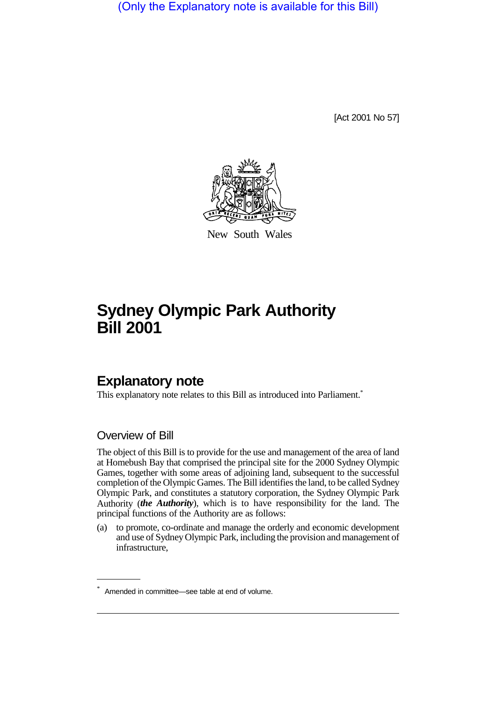(Only the Explanatory note is available for this Bill)

[Act 2001 No 57]



New South Wales

# **Sydney Olympic Park Authority Bill 2001**

# **Explanatory note**

This explanatory note relates to this Bill as introduced into Parliament.<sup>\*</sup>

### Overview of Bill

The object of this Bill is to provide for the use and management of the area of land at Homebush Bay that comprised the principal site for the 2000 Sydney Olympic Games, together with some areas of adjoining land, subsequent to the successful completion of the Olympic Games. The Bill identifies the land, to be called Sydney Olympic Park, and constitutes a statutory corporation, the Sydney Olympic Park Authority (*the Authority*), which is to have responsibility for the land. The principal functions of the Authority are as follows:

(a) to promote, co-ordinate and manage the orderly and economic development and use of Sydney Olympic Park, including the provision and management of infrastructure,

<sup>\*</sup> Amended in committee—see table at end of volume.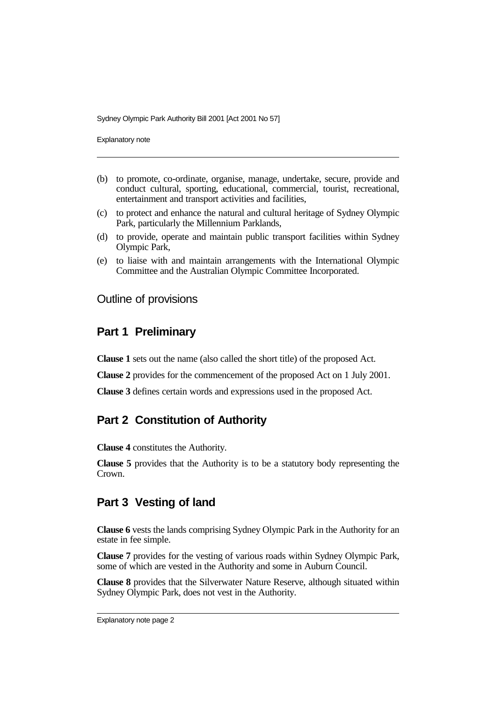Explanatory note

- (b) to promote, co-ordinate, organise, manage, undertake, secure, provide and conduct cultural, sporting, educational, commercial, tourist, recreational, entertainment and transport activities and facilities,
- (c) to protect and enhance the natural and cultural heritage of Sydney Olympic Park, particularly the Millennium Parklands,
- (d) to provide, operate and maintain public transport facilities within Sydney Olympic Park,
- (e) to liaise with and maintain arrangements with the International Olympic Committee and the Australian Olympic Committee Incorporated.

#### Outline of provisions

#### **Part 1 Preliminary**

**Clause 1** sets out the name (also called the short title) of the proposed Act.

**Clause 2** provides for the commencement of the proposed Act on 1 July 2001.

**Clause 3** defines certain words and expressions used in the proposed Act.

### **Part 2 Constitution of Authority**

**Clause 4** constitutes the Authority.

**Clause 5** provides that the Authority is to be a statutory body representing the Crown.

#### **Part 3 Vesting of land**

**Clause 6** vests the lands comprising Sydney Olympic Park in the Authority for an estate in fee simple.

**Clause 7** provides for the vesting of various roads within Sydney Olympic Park, some of which are vested in the Authority and some in Auburn Council.

**Clause 8** provides that the Silverwater Nature Reserve, although situated within Sydney Olympic Park, does not vest in the Authority.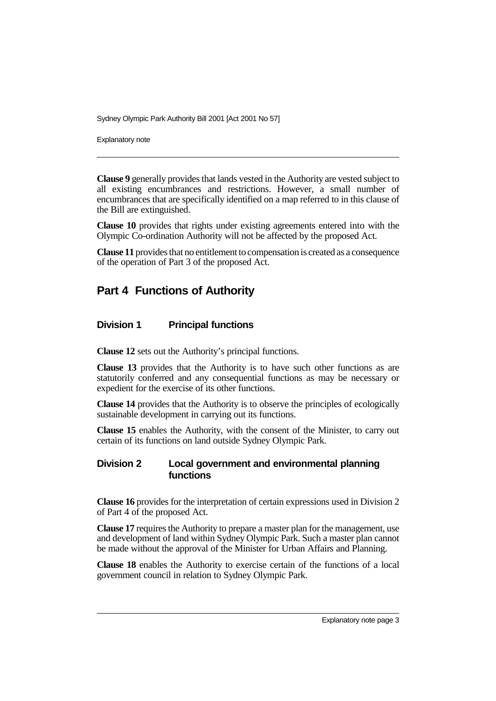Explanatory note

**Clause 9** generally provides that lands vested in the Authority are vested subject to all existing encumbrances and restrictions. However, a small number of encumbrances that are specifically identified on a map referred to in this clause of the Bill are extinguished.

**Clause 10** provides that rights under existing agreements entered into with the Olympic Co-ordination Authority will not be affected by the proposed Act.

**Clause 11** provides that no entitlement to compensation is created as a consequence of the operation of Part 3 of the proposed Act.

## **Part 4 Functions of Authority**

#### **Division 1 Principal functions**

**Clause 12** sets out the Authority's principal functions.

**Clause 13** provides that the Authority is to have such other functions as are statutorily conferred and any consequential functions as may be necessary or expedient for the exercise of its other functions.

**Clause 14** provides that the Authority is to observe the principles of ecologically sustainable development in carrying out its functions.

**Clause 15** enables the Authority, with the consent of the Minister, to carry out certain of its functions on land outside Sydney Olympic Park.

#### **Division 2 Local government and environmental planning functions**

**Clause 16** provides for the interpretation of certain expressions used in Division 2 of Part 4 of the proposed Act.

**Clause 17** requires the Authority to prepare a master plan for the management, use and development of land within Sydney Olympic Park. Such a master plan cannot be made without the approval of the Minister for Urban Affairs and Planning.

**Clause 18** enables the Authority to exercise certain of the functions of a local government council in relation to Sydney Olympic Park.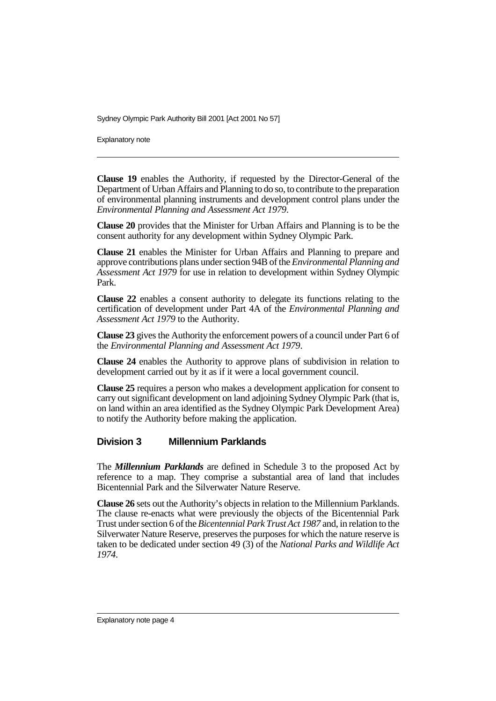Explanatory note

**Clause 19** enables the Authority, if requested by the Director-General of the Department of Urban Affairs and Planning to do so, to contribute to the preparation of environmental planning instruments and development control plans under the *Environmental Planning and Assessment Act 1979*.

**Clause 20** provides that the Minister for Urban Affairs and Planning is to be the consent authority for any development within Sydney Olympic Park.

**Clause 21** enables the Minister for Urban Affairs and Planning to prepare and approve contributions plans under section 94B of the *Environmental Planning and Assessment Act 1979* for use in relation to development within Sydney Olympic Park.

**Clause 22** enables a consent authority to delegate its functions relating to the certification of development under Part 4A of the *Environmental Planning and Assessment Act 1979* to the Authority.

**Clause 23** gives the Authority the enforcement powers of a council under Part 6 of the *Environmental Planning and Assessment Act 1979*.

**Clause 24** enables the Authority to approve plans of subdivision in relation to development carried out by it as if it were a local government council.

**Clause 25** requires a person who makes a development application for consent to carry out significant development on land adjoining Sydney Olympic Park (that is, on land within an area identified as the Sydney Olympic Park Development Area) to notify the Authority before making the application.

#### **Division 3 Millennium Parklands**

The *Millennium Parklands* are defined in Schedule 3 to the proposed Act by reference to a map. They comprise a substantial area of land that includes Bicentennial Park and the Silverwater Nature Reserve.

**Clause 26** sets out the Authority's objects in relation to the Millennium Parklands. The clause re-enacts what were previously the objects of the Bicentennial Park Trust under section 6 of the *Bicentennial Park Trust Act 1987* and, in relation to the Silverwater Nature Reserve, preserves the purposes for which the nature reserve is taken to be dedicated under section 49 (3) of the *National Parks and Wildlife Act 1974*.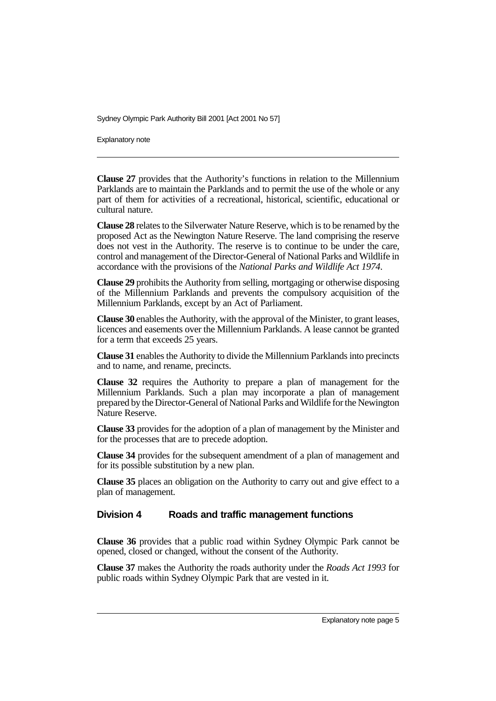Explanatory note

**Clause 27** provides that the Authority's functions in relation to the Millennium Parklands are to maintain the Parklands and to permit the use of the whole or any part of them for activities of a recreational, historical, scientific, educational or cultural nature.

**Clause 28** relates to the Silverwater Nature Reserve, which is to be renamed by the proposed Act as the Newington Nature Reserve. The land comprising the reserve does not vest in the Authority. The reserve is to continue to be under the care, control and management of the Director-General of National Parks and Wildlife in accordance with the provisions of the *National Parks and Wildlife Act 1974*.

**Clause 29** prohibits the Authority from selling, mortgaging or otherwise disposing of the Millennium Parklands and prevents the compulsory acquisition of the Millennium Parklands, except by an Act of Parliament.

**Clause 30** enables the Authority, with the approval of the Minister, to grant leases, licences and easements over the Millennium Parklands. A lease cannot be granted for a term that exceeds 25 years.

**Clause 31** enables the Authority to divide the Millennium Parklands into precincts and to name, and rename, precincts.

**Clause 32** requires the Authority to prepare a plan of management for the Millennium Parklands. Such a plan may incorporate a plan of management prepared by the Director-General of National Parks and Wildlife for the Newington Nature Reserve.

**Clause 33** provides for the adoption of a plan of management by the Minister and for the processes that are to precede adoption.

**Clause 34** provides for the subsequent amendment of a plan of management and for its possible substitution by a new plan.

**Clause 35** places an obligation on the Authority to carry out and give effect to a plan of management.

#### **Division 4 Roads and traffic management functions**

**Clause 36** provides that a public road within Sydney Olympic Park cannot be opened, closed or changed, without the consent of the Authority.

**Clause 37** makes the Authority the roads authority under the *Roads Act 1993* for public roads within Sydney Olympic Park that are vested in it.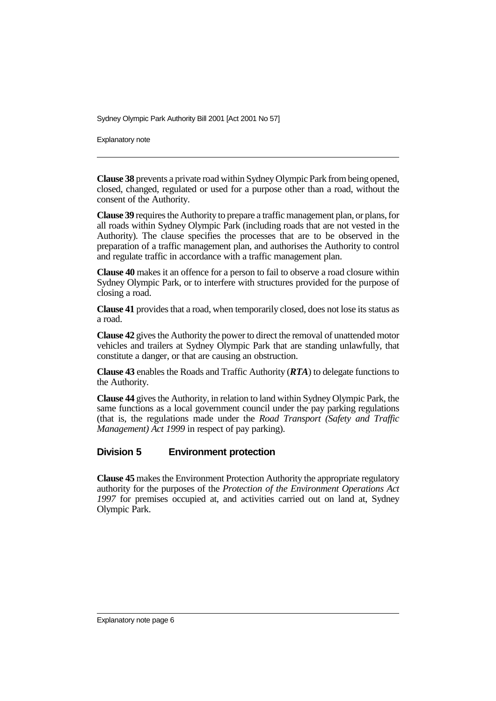Explanatory note

**Clause 38** prevents a private road within Sydney Olympic Park from being opened, closed, changed, regulated or used for a purpose other than a road, without the consent of the Authority.

**Clause 39** requires the Authority to prepare a traffic management plan, or plans, for all roads within Sydney Olympic Park (including roads that are not vested in the Authority). The clause specifies the processes that are to be observed in the preparation of a traffic management plan, and authorises the Authority to control and regulate traffic in accordance with a traffic management plan.

**Clause 40** makes it an offence for a person to fail to observe a road closure within Sydney Olympic Park, or to interfere with structures provided for the purpose of closing a road.

**Clause 41** provides that a road, when temporarily closed, does not lose its status as a road.

**Clause 42** gives the Authority the power to direct the removal of unattended motor vehicles and trailers at Sydney Olympic Park that are standing unlawfully, that constitute a danger, or that are causing an obstruction.

**Clause 43** enables the Roads and Traffic Authority (*RTA*) to delegate functions to the Authority.

**Clause 44** gives the Authority, in relation to land within Sydney Olympic Park, the same functions as a local government council under the pay parking regulations (that is, the regulations made under the *Road Transport (Safety and Traffic Management) Act 1999* in respect of pay parking).

#### **Division 5 Environment protection**

**Clause 45** makes the Environment Protection Authority the appropriate regulatory authority for the purposes of the *Protection of the Environment Operations Act 1997* for premises occupied at, and activities carried out on land at, Sydney Olympic Park.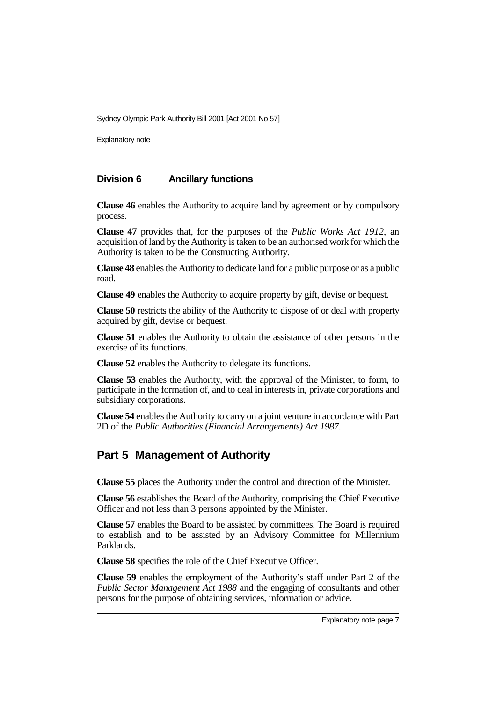Explanatory note

#### **Division 6 Ancillary functions**

**Clause 46** enables the Authority to acquire land by agreement or by compulsory process.

**Clause 47** provides that, for the purposes of the *Public Works Act 1912*, an acquisition of land by the Authority is taken to be an authorised work for which the Authority is taken to be the Constructing Authority.

**Clause 48** enables the Authority to dedicate land for a public purpose or as a public road.

**Clause 49** enables the Authority to acquire property by gift, devise or bequest.

**Clause 50** restricts the ability of the Authority to dispose of or deal with property acquired by gift, devise or bequest.

**Clause 51** enables the Authority to obtain the assistance of other persons in the exercise of its functions.

**Clause 52** enables the Authority to delegate its functions.

**Clause 53** enables the Authority, with the approval of the Minister, to form, to participate in the formation of, and to deal in interests in, private corporations and subsidiary corporations.

**Clause 54** enables the Authority to carry on a joint venture in accordance with Part 2D of the *Public Authorities (Financial Arrangements) Act 1987*.

# **Part 5 Management of Authority**

**Clause 55** places the Authority under the control and direction of the Minister.

**Clause 56** establishes the Board of the Authority, comprising the Chief Executive Officer and not less than 3 persons appointed by the Minister.

**Clause 57** enables the Board to be assisted by committees. The Board is required to establish and to be assisted by an Advisory Committee for Millennium Parklands.

**Clause 58** specifies the role of the Chief Executive Officer.

**Clause 59** enables the employment of the Authority's staff under Part 2 of the *Public Sector Management Act 1988* and the engaging of consultants and other persons for the purpose of obtaining services, information or advice.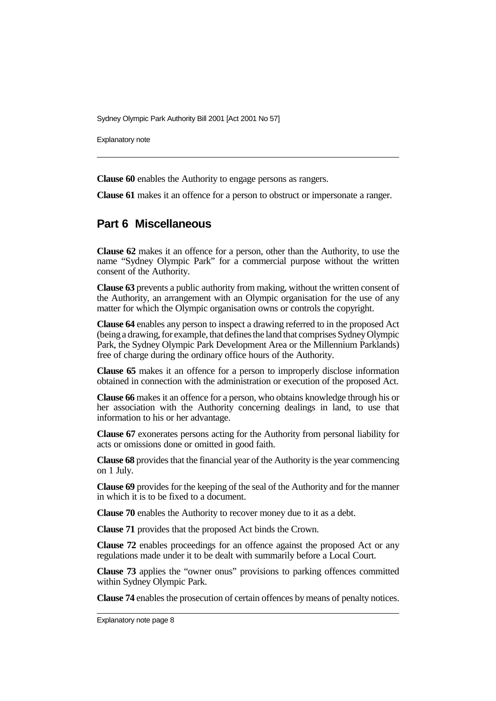Explanatory note

**Clause 60** enables the Authority to engage persons as rangers.

**Clause 61** makes it an offence for a person to obstruct or impersonate a ranger.

#### **Part 6 Miscellaneous**

**Clause 62** makes it an offence for a person, other than the Authority, to use the name "Sydney Olympic Park" for a commercial purpose without the written consent of the Authority.

**Clause 63** prevents a public authority from making, without the written consent of the Authority, an arrangement with an Olympic organisation for the use of any matter for which the Olympic organisation owns or controls the copyright.

**Clause 64** enables any person to inspect a drawing referred to in the proposed Act (being a drawing, for example, that defines the land that comprises Sydney Olympic Park, the Sydney Olympic Park Development Area or the Millennium Parklands) free of charge during the ordinary office hours of the Authority.

**Clause 65** makes it an offence for a person to improperly disclose information obtained in connection with the administration or execution of the proposed Act.

**Clause 66** makes it an offence for a person, who obtains knowledge through his or her association with the Authority concerning dealings in land, to use that information to his or her advantage.

**Clause 67** exonerates persons acting for the Authority from personal liability for acts or omissions done or omitted in good faith.

**Clause 68** provides that the financial year of the Authority is the year commencing on 1 July.

**Clause 69** provides for the keeping of the seal of the Authority and for the manner in which it is to be fixed to a document.

**Clause 70** enables the Authority to recover money due to it as a debt.

**Clause 71** provides that the proposed Act binds the Crown.

**Clause 72** enables proceedings for an offence against the proposed Act or any regulations made under it to be dealt with summarily before a Local Court.

**Clause 73** applies the "owner onus" provisions to parking offences committed within Sydney Olympic Park.

**Clause 74** enables the prosecution of certain offences by means of penalty notices.

Explanatory note page 8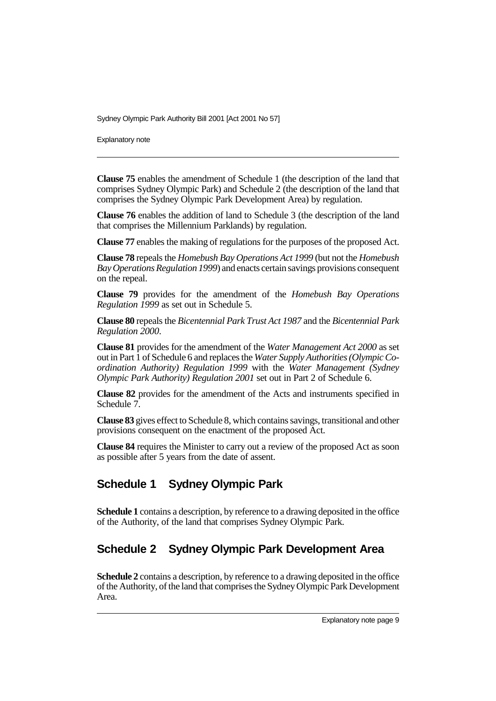Explanatory note

**Clause 75** enables the amendment of Schedule 1 (the description of the land that comprises Sydney Olympic Park) and Schedule 2 (the description of the land that comprises the Sydney Olympic Park Development Area) by regulation.

**Clause 76** enables the addition of land to Schedule 3 (the description of the land that comprises the Millennium Parklands) by regulation.

**Clause 77** enables the making of regulations for the purposes of the proposed Act.

**Clause 78** repeals the *Homebush Bay Operations Act 1999* (but not the *Homebush Bay Operations Regulation 1999*) and enacts certain savings provisions consequent on the repeal.

**Clause 79** provides for the amendment of the *Homebush Bay Operations Regulation 1999* as set out in Schedule 5.

**Clause 80** repeals the *Bicentennial Park Trust Act 1987* and the *Bicentennial Park Regulation 2000*.

**Clause 81** provides for the amendment of the *Water Management Act 2000* as set out in Part 1 of Schedule 6 and replaces the *Water Supply Authorities (Olympic Coordination Authority) Regulation 1999* with the *Water Management (Sydney Olympic Park Authority) Regulation 2001* set out in Part 2 of Schedule 6.

**Clause 82** provides for the amendment of the Acts and instruments specified in Schedule 7.

**Clause 83** gives effect to Schedule 8, which contains savings, transitional and other provisions consequent on the enactment of the proposed Act.

**Clause 84** requires the Minister to carry out a review of the proposed Act as soon as possible after 5 years from the date of assent.

# **Schedule 1 Sydney Olympic Park**

**Schedule 1** contains a description, by reference to a drawing deposited in the office of the Authority, of the land that comprises Sydney Olympic Park.

# **Schedule 2 Sydney Olympic Park Development Area**

**Schedule 2** contains a description, by reference to a drawing deposited in the office of the Authority, of the land that comprises the Sydney Olympic Park Development Area.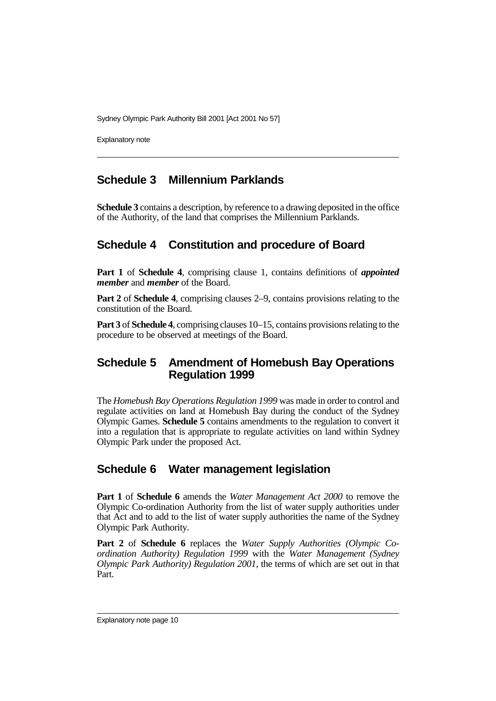Explanatory note

## **Schedule 3 Millennium Parklands**

**Schedule 3** contains a description, by reference to a drawing deposited in the office of the Authority, of the land that comprises the Millennium Parklands.

# **Schedule 4 Constitution and procedure of Board**

**Part 1** of **Schedule 4**, comprising clause 1, contains definitions of *appointed member* and *member* of the Board.

**Part 2** of **Schedule 4**, comprising clauses 2–9, contains provisions relating to the constitution of the Board.

**Part 3** of **Schedule 4**, comprising clauses 10–15, contains provisions relating to the procedure to be observed at meetings of the Board.

## **Schedule 5 Amendment of Homebush Bay Operations Regulation 1999**

The *Homebush Bay Operations Regulation 1999* was made in order to control and regulate activities on land at Homebush Bay during the conduct of the Sydney Olympic Games. **Schedule 5** contains amendments to the regulation to convert it into a regulation that is appropriate to regulate activities on land within Sydney Olympic Park under the proposed Act.

### **Schedule 6 Water management legislation**

**Part 1** of **Schedule 6** amends the *Water Management Act 2000* to remove the Olympic Co-ordination Authority from the list of water supply authorities under that Act and to add to the list of water supply authorities the name of the Sydney Olympic Park Authority.

**Part 2** of **Schedule 6** replaces the *Water Supply Authorities (Olympic Coordination Authority) Regulation 1999* with the *Water Management (Sydney Olympic Park Authority) Regulation 2001,* the terms of which are set out in that Part.